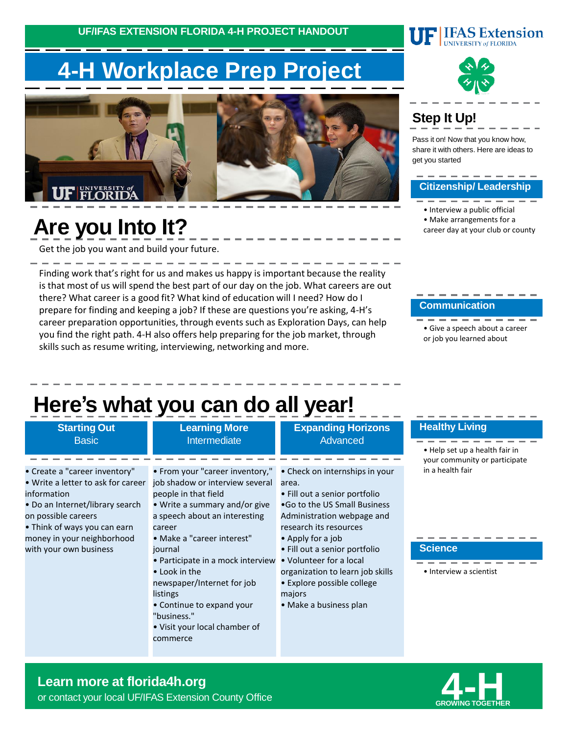**UF/IFAS EXTENSION FLORIDA 4-H PROJECT HANDOUT**

# **4-H Workplace Prep Project**





# **Are you Into It?**

Get the job you want and build your future.

Finding work that's right for us and makes us happy is important because the reality is that most of us will spend the best part of our day on the job. What careers are out there? What career is a good fit? What kind of education will I need? How do I prepare for finding and keeping a job? If these are questions you're asking, 4-H's career preparation opportunities, through events such as Exploration Days, can help you find the right path. 4-H also offers help preparing for the job market, through skills such as resume writing, interviewing, networking and more.

### **Step It Up!**

Pass it on! Now that you know how, share it with others. Here are ideas to get you started

**IFAS Extension** 

#### **Citizenship/ Leadership**

• Interview a public official • Make arrangements for a career day at your club or county

#### **Communication**

• Give a speech about a career or job you learned about

## **Here's what you can do all year!**

people in that field

career

journal

listings

"business."

commerce

• Look in the

| <b>Starting Out</b> |
|---------------------|
| <b>Basic</b>        |

- Create a "career inventory" • Write a letter to ask for career job shadow or interview several information
- Do an Internet/library search on possible careers

• Think of ways you can earn money in your neighborhood with your own business

#### **Learning More** Intermediate

• From your "career inventory,"

• Write a summary and/or give a speech about an interesting

• Participate in a mock interview

• Make a "career interest"

newspaper/Internet for job

• Continue to expand your

• Visit your local chamber of

#### **Expanding Horizons** Advanced

• Check on internships in your area.

- Fill out a senior portfolio •Go to the US Small Business Administration webpage and research its resources
- Apply for a job
- Fill out a senior portfolio
- Volunteer for a local organization to learn job skills • Explore possible college
- majors
- Make a business plan

#### **Healthy Living**

-----• Help set up a health fair in your community or participate in a health fair

**Science**

• Interview a scientist



### or contact your local UF/IFAS Extension County Office **Learn more at florida4h.org**